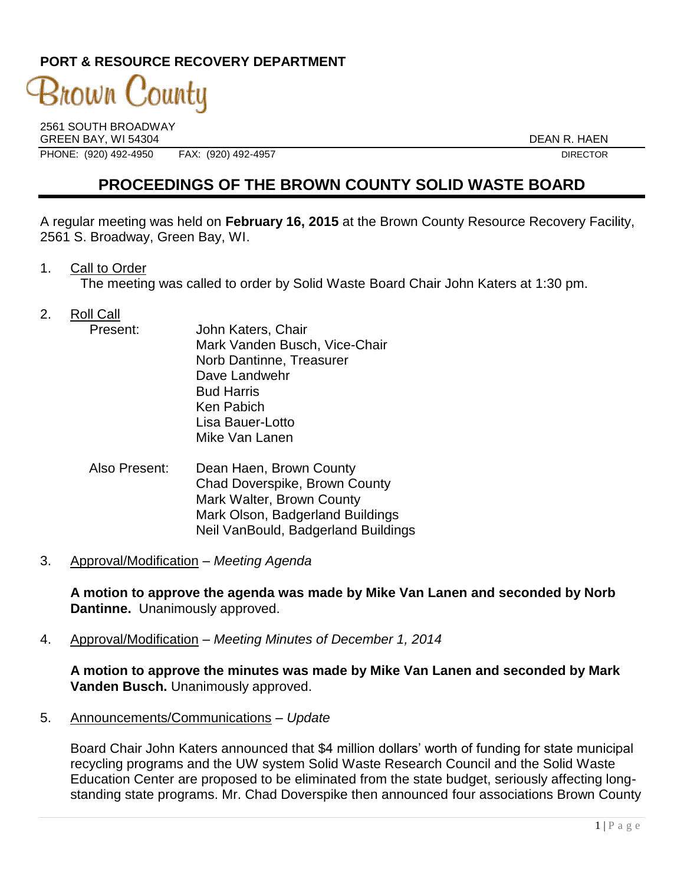### **PORT & RESOURCE RECOVERY DEPARTMENT**

# 3nown County

2561 SOUTH BROADWAY GREEN BAY, WI 54304 DEAN R. HAEN PHONE: (920) 492-4950 FAX: (920) 492-4957 FAX: (920) 492-4957

## **PROCEEDINGS OF THE BROWN COUNTY SOLID WASTE BOARD**

A regular meeting was held on **February 16, 2015** at the Brown County Resource Recovery Facility, 2561 S. Broadway, Green Bay, WI.

1. Call to Order

The meeting was called to order by Solid Waste Board Chair John Katers at 1:30 pm.

- 2. Roll Call
	- Present: John Katers, Chair Mark Vanden Busch, Vice-Chair Norb Dantinne, Treasurer Dave Landwehr Bud Harris Ken Pabich Lisa Bauer-Lotto Mike Van Lanen
	- Also Present: Dean Haen, Brown County Chad Doverspike, Brown County Mark Walter, Brown County Mark Olson, Badgerland Buildings Neil VanBould, Badgerland Buildings
- 3. Approval/Modification *Meeting Agenda*

**A motion to approve the agenda was made by Mike Van Lanen and seconded by Norb Dantinne.** Unanimously approved.

4. Approval/Modification – *Meeting Minutes of December 1, 2014*

**A motion to approve the minutes was made by Mike Van Lanen and seconded by Mark Vanden Busch.** Unanimously approved.

5. Announcements/Communications *– Update*

Board Chair John Katers announced that \$4 million dollars' worth of funding for state municipal recycling programs and the UW system Solid Waste Research Council and the Solid Waste Education Center are proposed to be eliminated from the state budget, seriously affecting longstanding state programs. Mr. Chad Doverspike then announced four associations Brown County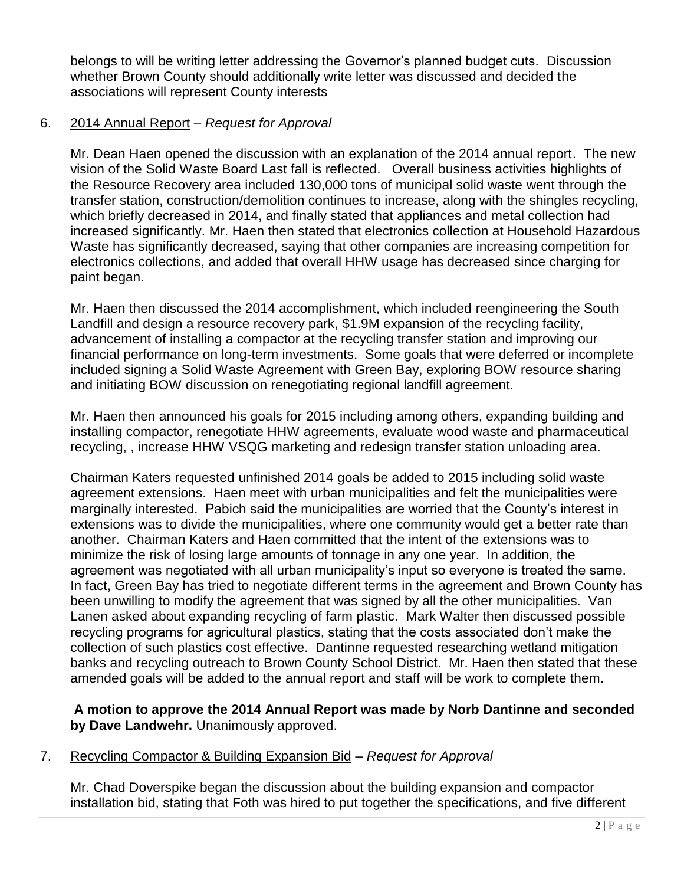belongs to will be writing letter addressing the Governor's planned budget cuts. Discussion whether Brown County should additionally write letter was discussed and decided the associations will represent County interests

#### 6. 2014 Annual Report – *Request for Approval*

Mr. Dean Haen opened the discussion with an explanation of the 2014 annual report. The new vision of the Solid Waste Board Last fall is reflected. Overall business activities highlights of the Resource Recovery area included 130,000 tons of municipal solid waste went through the transfer station, construction/demolition continues to increase, along with the shingles recycling, which briefly decreased in 2014, and finally stated that appliances and metal collection had increased significantly. Mr. Haen then stated that electronics collection at Household Hazardous Waste has significantly decreased, saying that other companies are increasing competition for electronics collections, and added that overall HHW usage has decreased since charging for paint began.

Mr. Haen then discussed the 2014 accomplishment, which included reengineering the South Landfill and design a resource recovery park, \$1.9M expansion of the recycling facility, advancement of installing a compactor at the recycling transfer station and improving our financial performance on long-term investments. Some goals that were deferred or incomplete included signing a Solid Waste Agreement with Green Bay, exploring BOW resource sharing and initiating BOW discussion on renegotiating regional landfill agreement.

Mr. Haen then announced his goals for 2015 including among others, expanding building and installing compactor, renegotiate HHW agreements, evaluate wood waste and pharmaceutical recycling, , increase HHW VSQG marketing and redesign transfer station unloading area.

Chairman Katers requested unfinished 2014 goals be added to 2015 including solid waste agreement extensions. Haen meet with urban municipalities and felt the municipalities were marginally interested. Pabich said the municipalities are worried that the County's interest in extensions was to divide the municipalities, where one community would get a better rate than another. Chairman Katers and Haen committed that the intent of the extensions was to minimize the risk of losing large amounts of tonnage in any one year. In addition, the agreement was negotiated with all urban municipality's input so everyone is treated the same. In fact, Green Bay has tried to negotiate different terms in the agreement and Brown County has been unwilling to modify the agreement that was signed by all the other municipalities. Van Lanen asked about expanding recycling of farm plastic. Mark Walter then discussed possible recycling programs for agricultural plastics, stating that the costs associated don't make the collection of such plastics cost effective. Dantinne requested researching wetland mitigation banks and recycling outreach to Brown County School District. Mr. Haen then stated that these amended goals will be added to the annual report and staff will be work to complete them.

**A motion to approve the 2014 Annual Report was made by Norb Dantinne and seconded by Dave Landwehr.** Unanimously approved.

#### 7. Recycling Compactor & Building Expansion Bid *– Request for Approval*

Mr. Chad Doverspike began the discussion about the building expansion and compactor installation bid, stating that Foth was hired to put together the specifications, and five different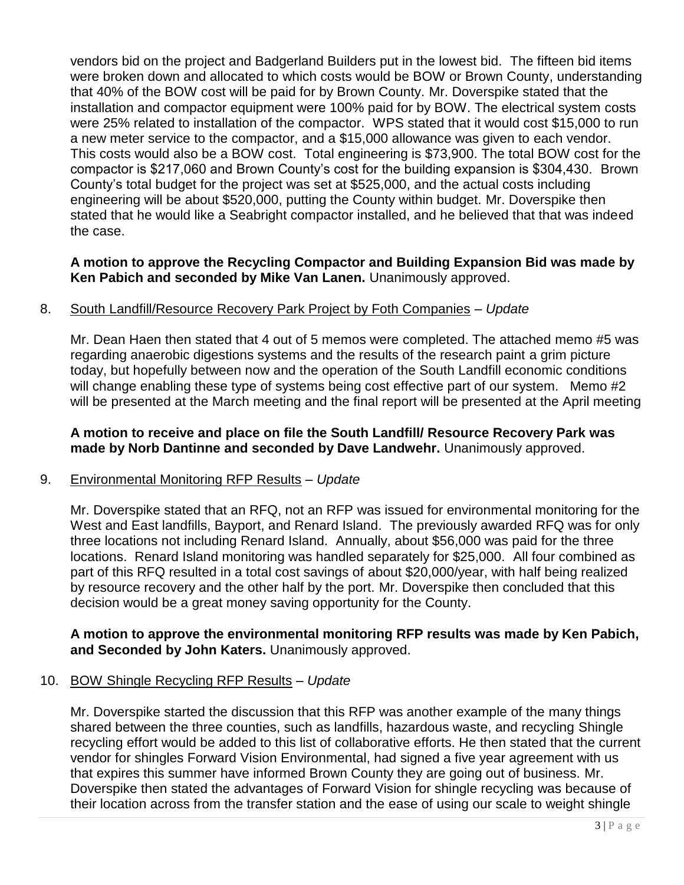vendors bid on the project and Badgerland Builders put in the lowest bid. The fifteen bid items were broken down and allocated to which costs would be BOW or Brown County, understanding that 40% of the BOW cost will be paid for by Brown County. Mr. Doverspike stated that the installation and compactor equipment were 100% paid for by BOW. The electrical system costs were 25% related to installation of the compactor. WPS stated that it would cost \$15,000 to run a new meter service to the compactor, and a \$15,000 allowance was given to each vendor. This costs would also be a BOW cost. Total engineering is \$73,900. The total BOW cost for the compactor is \$217,060 and Brown County's cost for the building expansion is \$304,430. Brown County's total budget for the project was set at \$525,000, and the actual costs including engineering will be about \$520,000, putting the County within budget. Mr. Doverspike then stated that he would like a Seabright compactor installed, and he believed that that was indeed the case.

#### **A motion to approve the Recycling Compactor and Building Expansion Bid was made by Ken Pabich and seconded by Mike Van Lanen.** Unanimously approved.

#### 8. South Landfill/Resource Recovery Park Project by Foth Companies – *Update*

Mr. Dean Haen then stated that 4 out of 5 memos were completed. The attached memo #5 was regarding anaerobic digestions systems and the results of the research paint a grim picture today, but hopefully between now and the operation of the South Landfill economic conditions will change enabling these type of systems being cost effective part of our system. Memo #2 will be presented at the March meeting and the final report will be presented at the April meeting

#### **A motion to receive and place on file the South Landfill/ Resource Recovery Park was made by Norb Dantinne and seconded by Dave Landwehr.** Unanimously approved.

#### 9. Environmental Monitoring RFP Results – *Update*

Mr. Doverspike stated that an RFQ, not an RFP was issued for environmental monitoring for the West and East landfills, Bayport, and Renard Island. The previously awarded RFQ was for only three locations not including Renard Island. Annually, about \$56,000 was paid for the three locations. Renard Island monitoring was handled separately for \$25,000. All four combined as part of this RFQ resulted in a total cost savings of about \$20,000/year, with half being realized by resource recovery and the other half by the port. Mr. Doverspike then concluded that this decision would be a great money saving opportunity for the County.

#### **A motion to approve the environmental monitoring RFP results was made by Ken Pabich, and Seconded by John Katers.** Unanimously approved.

#### 10. BOW Shingle Recycling RFP Results – *Update*

Mr. Doverspike started the discussion that this RFP was another example of the many things shared between the three counties, such as landfills, hazardous waste, and recycling Shingle recycling effort would be added to this list of collaborative efforts. He then stated that the current vendor for shingles Forward Vision Environmental, had signed a five year agreement with us that expires this summer have informed Brown County they are going out of business. Mr. Doverspike then stated the advantages of Forward Vision for shingle recycling was because of their location across from the transfer station and the ease of using our scale to weight shingle